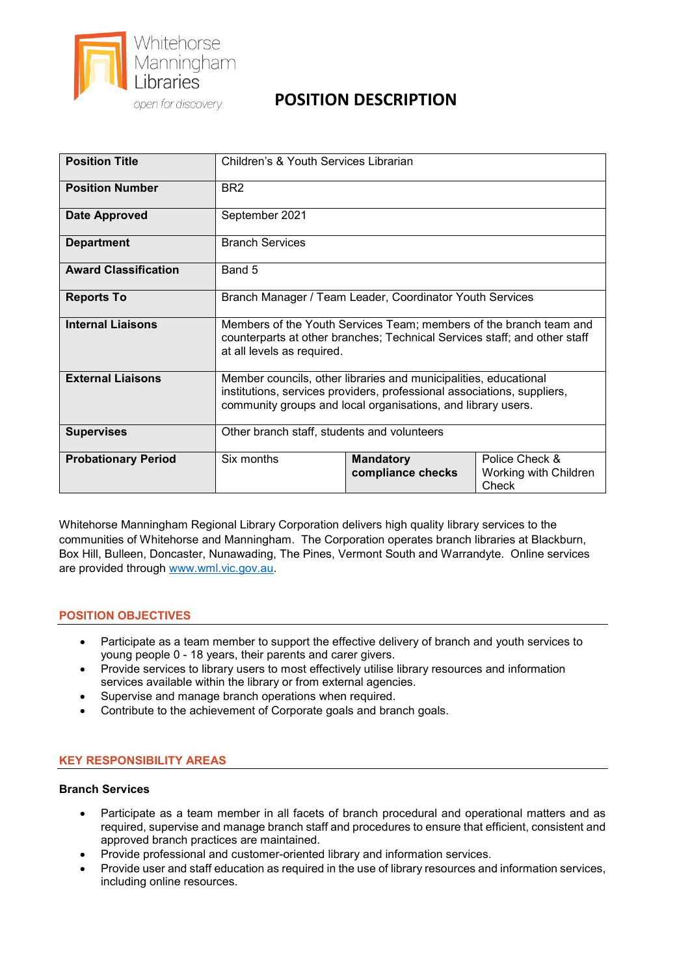

# **POSITION DESCRIPTION**

| <b>Position Title</b>       | Children's & Youth Services Librarian                                                                                                                                                                       |                                       |                                                  |  |
|-----------------------------|-------------------------------------------------------------------------------------------------------------------------------------------------------------------------------------------------------------|---------------------------------------|--------------------------------------------------|--|
| <b>Position Number</b>      | BR <sub>2</sub>                                                                                                                                                                                             |                                       |                                                  |  |
| <b>Date Approved</b>        | September 2021                                                                                                                                                                                              |                                       |                                                  |  |
| <b>Department</b>           | <b>Branch Services</b>                                                                                                                                                                                      |                                       |                                                  |  |
| <b>Award Classification</b> | Band 5                                                                                                                                                                                                      |                                       |                                                  |  |
| <b>Reports To</b>           | Branch Manager / Team Leader, Coordinator Youth Services                                                                                                                                                    |                                       |                                                  |  |
| <b>Internal Liaisons</b>    | Members of the Youth Services Team; members of the branch team and<br>counterparts at other branches; Technical Services staff; and other staff<br>at all levels as required.                               |                                       |                                                  |  |
| <b>External Liaisons</b>    | Member councils, other libraries and municipalities, educational<br>institutions, services providers, professional associations, suppliers,<br>community groups and local organisations, and library users. |                                       |                                                  |  |
| <b>Supervises</b>           | Other branch staff, students and volunteers                                                                                                                                                                 |                                       |                                                  |  |
| <b>Probationary Period</b>  | Six months                                                                                                                                                                                                  | <b>Mandatory</b><br>compliance checks | Police Check &<br>Working with Children<br>Check |  |

Whitehorse Manningham Regional Library Corporation delivers high quality library services to the communities of Whitehorse and Manningham. The Corporation operates branch libraries at Blackburn, Box Hill, Bulleen, Doncaster, Nunawading, The Pines, Vermont South and Warrandyte. Online services are provided through [www.wml.vic.gov.au.](http://www.wml.vic.gov.au/)

## **POSITION OBJECTIVES**

- Participate as a team member to support the effective delivery of branch and youth services to young people 0 - 18 years, their parents and carer givers.
- Provide services to library users to most effectively utilise library resources and information services available within the library or from external agencies.
- Supervise and manage branch operations when required.
- Contribute to the achievement of Corporate goals and branch goals.

## **KEY RESPONSIBILITY AREAS**

## **Branch Services**

- Participate as a team member in all facets of branch procedural and operational matters and as required, supervise and manage branch staff and procedures to ensure that efficient, consistent and approved branch practices are maintained.
- Provide professional and customer-oriented library and information services.
- Provide user and staff education as required in the use of library resources and information services, including online resources.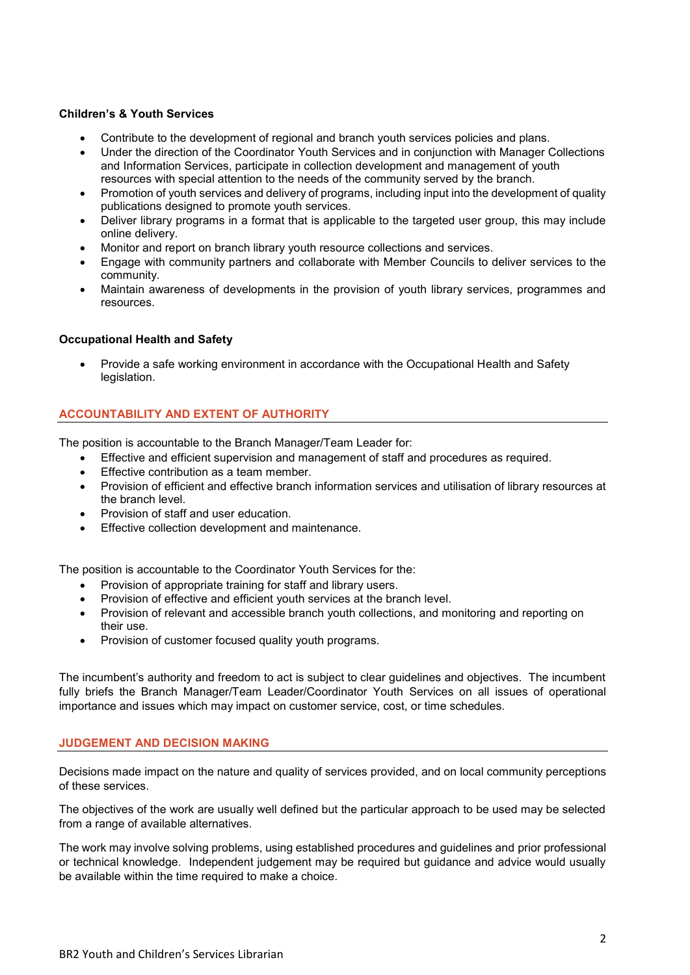## **Children's & Youth Services**

- Contribute to the development of regional and branch youth services policies and plans.
- Under the direction of the Coordinator Youth Services and in conjunction with Manager Collections and Information Services, participate in collection development and management of youth resources with special attention to the needs of the community served by the branch.
- Promotion of youth services and delivery of programs, including input into the development of quality publications designed to promote youth services.
- Deliver library programs in a format that is applicable to the targeted user group, this may include online delivery.
- Monitor and report on branch library youth resource collections and services.
- Engage with community partners and collaborate with Member Councils to deliver services to the community.
- Maintain awareness of developments in the provision of youth library services, programmes and resources.

## **Occupational Health and Safety**

• Provide a safe working environment in accordance with the Occupational Health and Safety legislation.

## **ACCOUNTABILITY AND EXTENT OF AUTHORITY**

The position is accountable to the Branch Manager/Team Leader for:

- Effective and efficient supervision and management of staff and procedures as required.
- Effective contribution as a team member.
- Provision of efficient and effective branch information services and utilisation of library resources at the branch level.
- Provision of staff and user education.
- Effective collection development and maintenance.

The position is accountable to the Coordinator Youth Services for the:

- Provision of appropriate training for staff and library users.
- Provision of effective and efficient youth services at the branch level.
- Provision of relevant and accessible branch youth collections, and monitoring and reporting on their use.
- Provision of customer focused quality youth programs.

The incumbent's authority and freedom to act is subject to clear guidelines and objectives. The incumbent fully briefs the Branch Manager/Team Leader/Coordinator Youth Services on all issues of operational importance and issues which may impact on customer service, cost, or time schedules.

#### **JUDGEMENT AND DECISION MAKING**

Decisions made impact on the nature and quality of services provided, and on local community perceptions of these services.

The objectives of the work are usually well defined but the particular approach to be used may be selected from a range of available alternatives.

The work may involve solving problems, using established procedures and guidelines and prior professional or technical knowledge. Independent judgement may be required but guidance and advice would usually be available within the time required to make a choice.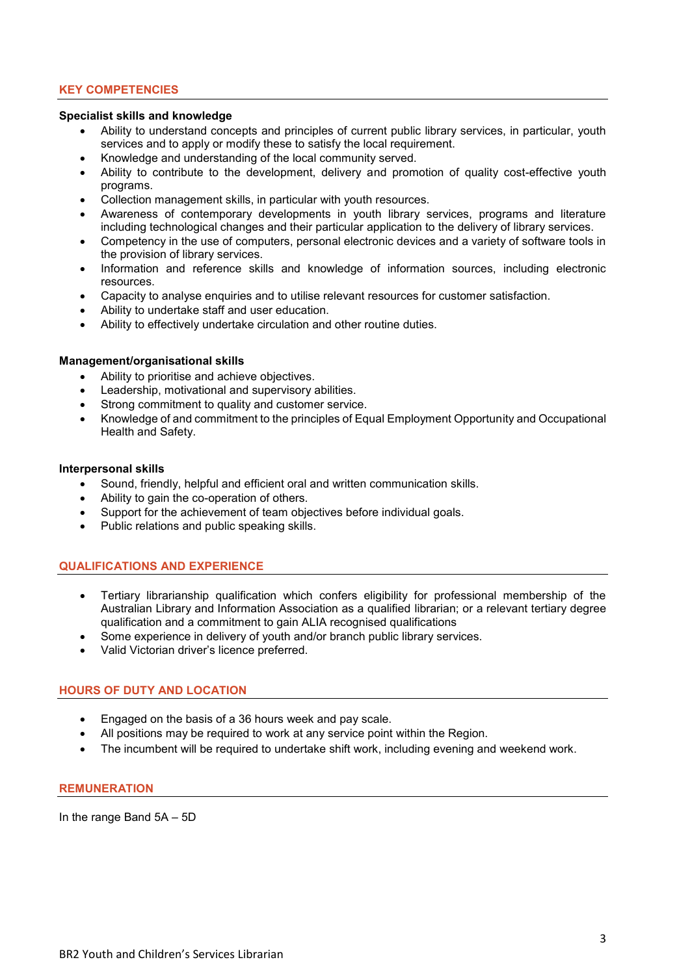## **KEY COMPETENCIES**

#### **Specialist skills and knowledge**

- Ability to understand concepts and principles of current public library services, in particular, youth services and to apply or modify these to satisfy the local requirement.
- Knowledge and understanding of the local community served.
- Ability to contribute to the development, delivery and promotion of quality cost-effective youth programs.
- Collection management skills, in particular with youth resources.
- Awareness of contemporary developments in youth library services, programs and literature including technological changes and their particular application to the delivery of library services.
- Competency in the use of computers, personal electronic devices and a variety of software tools in the provision of library services.
- Information and reference skills and knowledge of information sources, including electronic resources.
- Capacity to analyse enquiries and to utilise relevant resources for customer satisfaction.
- Ability to undertake staff and user education.
- Ability to effectively undertake circulation and other routine duties.

#### **Management/organisational skills**

- Ability to prioritise and achieve objectives.
- Leadership, motivational and supervisory abilities.
- Strong commitment to quality and customer service.
- Knowledge of and commitment to the principles of Equal Employment Opportunity and Occupational Health and Safety.

#### **Interpersonal skills**

- Sound, friendly, helpful and efficient oral and written communication skills.
- Ability to gain the co-operation of others.
- Support for the achievement of team objectives before individual goals.
- Public relations and public speaking skills.

#### **QUALIFICATIONS AND EXPERIENCE**

- Tertiary librarianship qualification which confers eligibility for professional membership of the Australian Library and Information Association as a qualified librarian; or a relevant tertiary degree qualification and a commitment to gain ALIA recognised qualifications
- Some experience in delivery of youth and/or branch public library services.
- Valid Victorian driver's licence preferred.

#### **HOURS OF DUTY AND LOCATION**

- Engaged on the basis of a 36 hours week and pay scale.
- All positions may be required to work at any service point within the Region.
- The incumbent will be required to undertake shift work, including evening and weekend work.

#### **REMUNERATION**

In the range Band 5A – 5D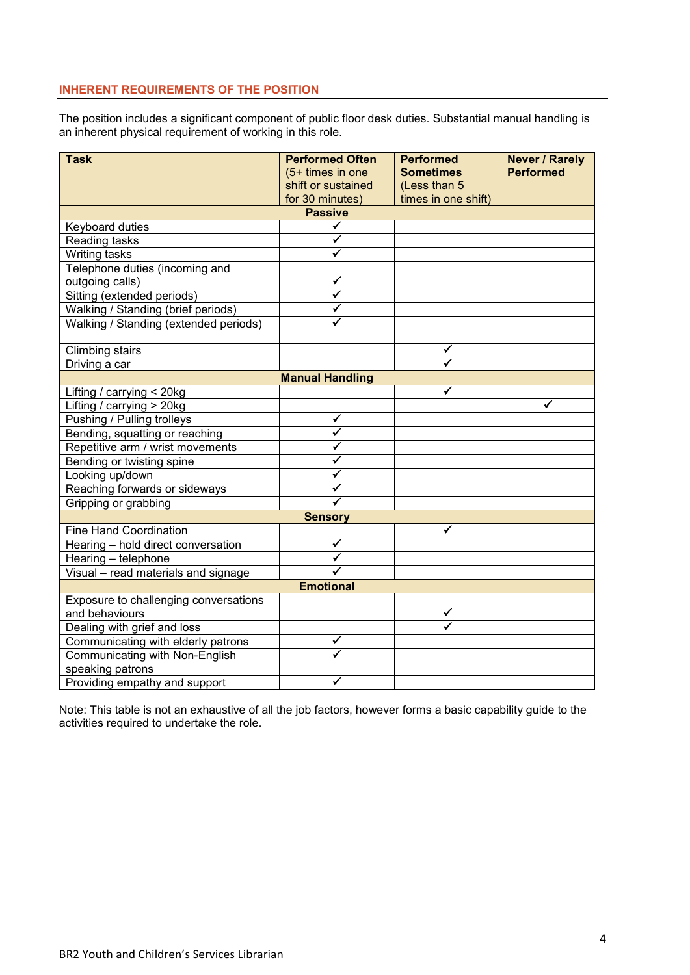# **INHERENT REQUIREMENTS OF THE POSITION**

The position includes a significant component of public floor desk duties. Substantial manual handling is an inherent physical requirement of working in this role.

| <b>Task</b>                           | <b>Performed Often</b> | <b>Performed</b>    | <b>Never / Rarely</b> |  |  |
|---------------------------------------|------------------------|---------------------|-----------------------|--|--|
|                                       | (5+ times in one       | <b>Sometimes</b>    | <b>Performed</b>      |  |  |
|                                       | shift or sustained     | (Less than 5        |                       |  |  |
|                                       | for 30 minutes)        | times in one shift) |                       |  |  |
| <b>Passive</b>                        |                        |                     |                       |  |  |
| Keyboard duties                       | ✓                      |                     |                       |  |  |
| Reading tasks                         | ✔                      |                     |                       |  |  |
| <b>Writing tasks</b>                  |                        |                     |                       |  |  |
| Telephone duties (incoming and        |                        |                     |                       |  |  |
| outgoing calls)                       |                        |                     |                       |  |  |
| Sitting (extended periods)            |                        |                     |                       |  |  |
| Walking / Standing (brief periods)    |                        |                     |                       |  |  |
| Walking / Standing (extended periods) |                        |                     |                       |  |  |
|                                       |                        |                     |                       |  |  |
| <b>Climbing stairs</b>                |                        | ✓                   |                       |  |  |
| Driving a car                         |                        |                     |                       |  |  |
| <b>Manual Handling</b>                |                        |                     |                       |  |  |
| Lifting / carrying < 20kg             |                        |                     |                       |  |  |
| Lifting / carrying > 20kg             |                        |                     |                       |  |  |
| Pushing / Pulling trolleys            | ✔                      |                     |                       |  |  |
| Bending, squatting or reaching        | ✔                      |                     |                       |  |  |
| Repetitive arm / wrist movements      | ✓                      |                     |                       |  |  |
| Bending or twisting spine             | ✓                      |                     |                       |  |  |
| Looking up/down                       | ✔                      |                     |                       |  |  |
| Reaching forwards or sideways         |                        |                     |                       |  |  |
| Gripping or grabbing                  |                        |                     |                       |  |  |
| <b>Sensory</b>                        |                        |                     |                       |  |  |
| <b>Fine Hand Coordination</b>         |                        | ✓                   |                       |  |  |
| Hearing - hold direct conversation    | ✔                      |                     |                       |  |  |
| Hearing - telephone                   |                        |                     |                       |  |  |
| Visual - read materials and signage   |                        |                     |                       |  |  |
| <b>Emotional</b>                      |                        |                     |                       |  |  |
| Exposure to challenging conversations |                        |                     |                       |  |  |
| and behaviours                        |                        |                     |                       |  |  |
| Dealing with grief and loss           |                        |                     |                       |  |  |
| Communicating with elderly patrons    | ✔                      |                     |                       |  |  |
| <b>Communicating with Non-English</b> |                        |                     |                       |  |  |
| speaking patrons                      |                        |                     |                       |  |  |
| Providing empathy and support         |                        |                     |                       |  |  |

Note: This table is not an exhaustive of all the job factors, however forms a basic capability guide to the activities required to undertake the role.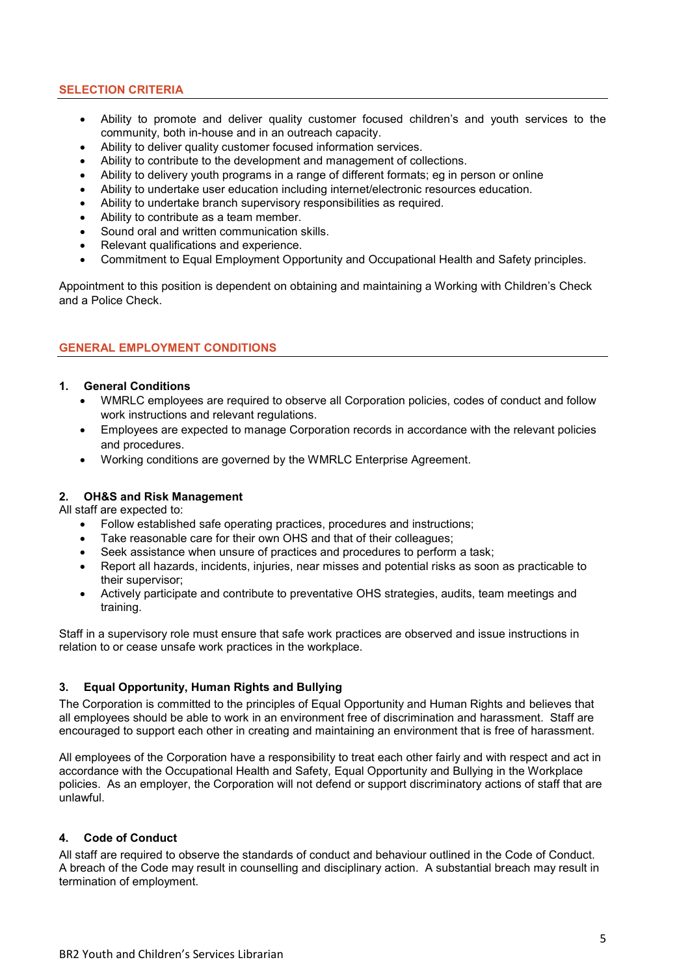## **SELECTION CRITERIA**

- Ability to promote and deliver quality customer focused children's and youth services to the community, both in-house and in an outreach capacity.
- Ability to deliver quality customer focused information services.
- Ability to contribute to the development and management of collections.
- Ability to delivery youth programs in a range of different formats; eg in person or online
- Ability to undertake user education including internet/electronic resources education.
- Ability to undertake branch supervisory responsibilities as required.
- Ability to contribute as a team member.
- Sound oral and written communication skills.
- Relevant qualifications and experience.
- Commitment to Equal Employment Opportunity and Occupational Health and Safety principles.

Appointment to this position is dependent on obtaining and maintaining a Working with Children's Check and a Police Check.

## **GENERAL EMPLOYMENT CONDITIONS**

#### **1. General Conditions**

- WMRLC employees are required to observe all Corporation policies, codes of conduct and follow work instructions and relevant regulations.
- Employees are expected to manage Corporation records in accordance with the relevant policies and procedures.
- Working conditions are governed by the WMRLC Enterprise Agreement.

## **2. OH&S and Risk Management**

All staff are expected to:

- Follow established safe operating practices, procedures and instructions;
- Take reasonable care for their own OHS and that of their colleagues;
- Seek assistance when unsure of practices and procedures to perform a task;
- Report all hazards, incidents, injuries, near misses and potential risks as soon as practicable to their supervisor;
- Actively participate and contribute to preventative OHS strategies, audits, team meetings and training.

Staff in a supervisory role must ensure that safe work practices are observed and issue instructions in relation to or cease unsafe work practices in the workplace.

## **3. Equal Opportunity, Human Rights and Bullying**

The Corporation is committed to the principles of Equal Opportunity and Human Rights and believes that all employees should be able to work in an environment free of discrimination and harassment. Staff are encouraged to support each other in creating and maintaining an environment that is free of harassment.

All employees of the Corporation have a responsibility to treat each other fairly and with respect and act in accordance with the Occupational Health and Safety, Equal Opportunity and Bullying in the Workplace policies. As an employer, the Corporation will not defend or support discriminatory actions of staff that are unlawful.

#### **4. Code of Conduct**

All staff are required to observe the standards of conduct and behaviour outlined in the Code of Conduct. A breach of the Code may result in counselling and disciplinary action. A substantial breach may result in termination of employment.